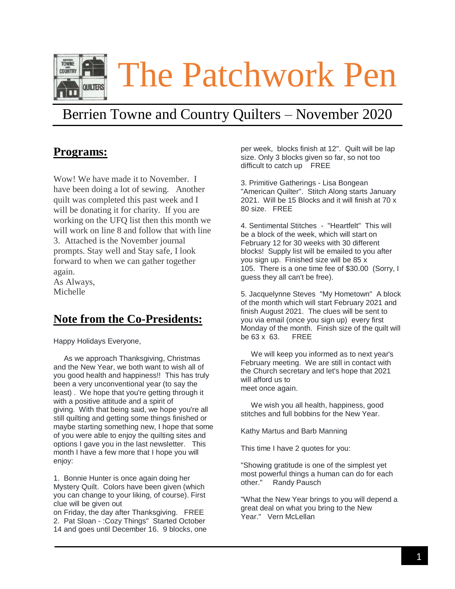

# Berrien Towne and Country Quilters – November 2020

# **Programs:**

Wow! We have made it to November. I have been doing a lot of sewing. Another quilt was completed this past week and I will be donating it for charity. If you are working on the UFQ list then this month we will work on line 8 and follow that with line 3. Attached is the November journal prompts. Stay well and Stay safe, I look forward to when we can gather together again.

As Always, Michelle

# **Note from the Co-Presidents:**

Happy Holidays Everyone,

As we approach Thanksgiving, Christmas and the New Year, we both want to wish all of you good health and happiness!! This has truly been a very unconventional year (to say the least) . We hope that you're getting through it with a positive attitude and a spirit of giving. With that being said, we hope you're all still quilting and getting some things finished or maybe starting something new, I hope that some of you were able to enjoy the quilting sites and options I gave you in the last newsletter. This month I have a few more that I hope you will enjoy:

1. Bonnie Hunter is once again doing her Mystery Quilt. Colors have been given (which you can change to your liking, of course). First clue will be given out

on Friday, the day after Thanksgiving. FREE 2. Pat Sloan - :Cozy Things" Started October 14 and goes until December 16. 9 blocks, one per week, blocks finish at 12". Quilt will be lap size. Only 3 blocks given so far, so not too difficult to catch up FREE

3. Primitive Gatherings - Lisa Bongean "American Quilter". Stitch Along starts January 2021. Will be 15 Blocks and it will finish at 70 x 80 size. FREE

4. Sentimental Stitches - "Heartfelt" This will be a block of the week, which will start on February 12 for 30 weeks with 30 different blocks! Supply list will be emailed to you after you sign up. Finished size will be 85 x 105. There is a one time fee of \$30.00 (Sorry, I guess they all can't be free).

5. Jacquelynne Steves "My Hometown" A block of the month which will start February 2021 and finish August 2021. The clues will be sent to you via email (once you sign up) every first Monday of the month. Finish size of the quilt will be 63 x 63. FREE

We will keep you informed as to next year's February meeting. We are still in contact with the Church secretary and let's hope that 2021 will afford us to meet once again.

We wish you all health, happiness, good stitches and full bobbins for the New Year.

Kathy Martus and Barb Manning

This time I have 2 quotes for you:

"Showing gratitude is one of the simplest yet most powerful things a human can do for each other." Randy Pausch

"What the New Year brings to you will depend a great deal on what you bring to the New Year." Vern McLellan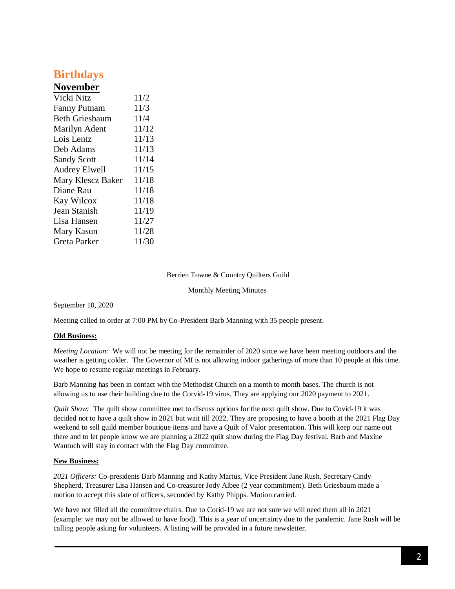# **Birthdays**

## **November**

| Vicki Nitz            | 11/2  |
|-----------------------|-------|
| <b>Fanny Putnam</b>   | 11/3  |
| <b>Beth Griesbaum</b> | 11/4  |
| Marilyn Adent         | 11/12 |
| Lois Lentz            | 11/13 |
| Deb Adams             | 11/13 |
| <b>Sandy Scott</b>    | 11/14 |
| Audrey Elwell         | 11/15 |
| Mary Klescz Baker     | 11/18 |
| Diane Rau             | 11/18 |
| Kay Wilcox            | 11/18 |
| Jean Stanish          | 11/19 |
| Lisa Hansen           | 11/27 |
| Mary Kasun            | 11/28 |
| Greta Parker          | 11/30 |

#### Berrien Towne & Country Quilters Guild

Monthly Meeting Minutes

September 10, 2020

Meeting called to order at 7:00 PM by Co-President Barb Manning with 35 people present.

### **Old Business:**

*Meeting Location:* We will not be meeting for the remainder of 2020 since we have been meeting outdoors and the weather is getting colder. The Governor of MI is not allowing indoor gatherings of more than 10 people at this time. We hope to resume regular meetings in February.

Barb Manning has been in contact with the Methodist Church on a month to month bases. The church is not allowing us to use their building due to the Corvid-19 virus. They are applying our 2020 payment to 2021.

*Quilt Show:* The quilt show committee met to discuss options for the next quilt show. Due to Covid-19 it was decided not to have a quilt show in 2021 but wait till 2022. They are proposing to have a booth at the 2021 Flag Day weekend to sell guild member boutique items and have a Quilt of Valor presentation. This will keep our name out there and to let people know we are planning a 2022 quilt show during the Flag Day festival. Barb and Maxine Wantuch will stay in contact with the Flag Day committee.

### **New Business:**

*2021 Officers:* Co-presidents Barb Manning and Kathy Martus, Vice President Jane Rush, Secretary Cindy Shepherd, Treasurer Lisa Hansen and Co-treasurer Jody Albee (2 year commitment). Beth Griesbaum made a motion to accept this slate of officers, seconded by Kathy Phipps. Motion carried.

We have not filled all the committee chairs. Due to Corid-19 we are not sure we will need them all in 2021 (example: we may not be allowed to have food). This is a year of uncertainty due to the pandemic. Jane Rush will be calling people asking for volunteers. A listing will be provided in a future newsletter.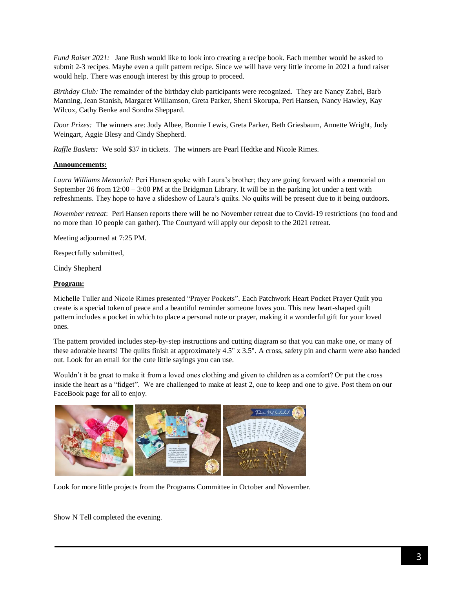*Fund Raiser 2021:* Jane Rush would like to look into creating a recipe book. Each member would be asked to submit 2-3 recipes. Maybe even a quilt pattern recipe. Since we will have very little income in 2021 a fund raiser would help. There was enough interest by this group to proceed.

*Birthday Club:* The remainder of the birthday club participants were recognized. They are Nancy Zabel, Barb Manning, Jean Stanish, Margaret Williamson, Greta Parker, Sherri Skorupa, Peri Hansen, Nancy Hawley, Kay Wilcox, Cathy Benke and Sondra Sheppard.

*Door Prizes:* The winners are: Jody Albee, Bonnie Lewis, Greta Parker, Beth Griesbaum, Annette Wright, Judy Weingart, Aggie Blesy and Cindy Shepherd.

*Raffle Baskets:* We sold \$37 in tickets. The winners are Pearl Hedtke and Nicole Rimes.

### **Announcements:**

*Laura Williams Memorial:* Peri Hansen spoke with Laura's brother; they are going forward with a memorial on September 26 from  $12:00 - 3:00$  PM at the Bridgman Library. It will be in the parking lot under a tent with refreshments. They hope to have a slideshow of Laura's quilts. No quilts will be present due to it being outdoors.

*November retreat*: Peri Hansen reports there will be no November retreat due to Covid-19 restrictions (no food and no more than 10 people can gather). The Courtyard will apply our deposit to the 2021 retreat.

Meeting adjourned at 7:25 PM.

Respectfully submitted,

Cindy Shepherd

### **Program:**

Michelle Tuller and Nicole Rimes presented "Prayer Pockets". Each Patchwork Heart Pocket Prayer Quilt you create is a special token of peace and a beautiful reminder someone loves you. This new heart-shaped quilt pattern includes a pocket in which to place a personal note or prayer, making it a wonderful gift for your loved ones.

The pattern provided includes step-by-step instructions and cutting diagram so that you can make one, or many of these adorable hearts! The quilts finish at approximately 4.5" x 3.5". A cross, safety pin and charm were also handed out. Look for an email for the cute little sayings you can use.

Wouldn't it be great to make it from a loved ones clothing and given to children as a comfort? Or put the cross inside the heart as a "fidget". We are challenged to make at least 2, one to keep and one to give. Post them on our FaceBook page for all to enjoy.



Look for more little projects from the Programs Committee in October and November.

Show N Tell completed the evening.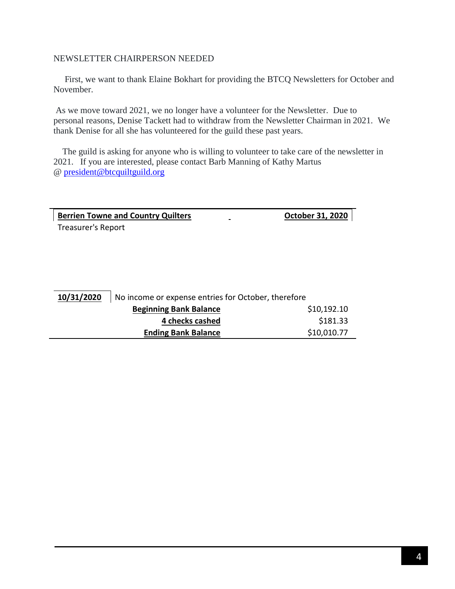### NEWSLETTER CHAIRPERSON NEEDED

 First, we want to thank Elaine Bokhart for providing the BTCQ Newsletters for October and November.

As we move toward 2021, we no longer have a volunteer for the Newsletter. Due to personal reasons, Denise Tackett had to withdraw from the Newsletter Chairman in 2021. We thank Denise for all she has volunteered for the guild these past years.

 The guild is asking for anyone who is willing to volunteer to take care of the newsletter in 2021. If you are interested, please contact Barb Manning of Kathy Martus @ [president@btcquiltguild.org](mailto:president@btcquiltguild.org)

**Berrien Towne and Country Quilters County Avec Line County October 31, 2020** Treasurer's Report

**10/31/2020** No income or expense entries for October, therefore **Beginning Bank Balance** \$10,192.10 **4 checks cashed** \$181.33 **Ending Bank Balance** \$10,010.77